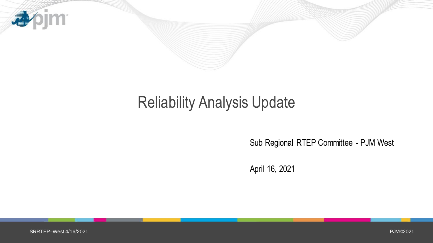

## Reliability Analysis Update

Sub Regional RTEP Committee - PJM West

April 16, 2021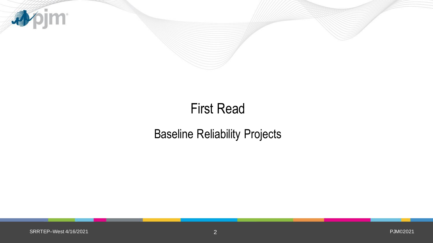

### First Read

### Baseline Reliability Projects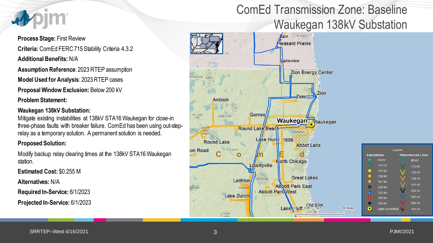

**Process Stage:** First Review **Criteria:** ComEd FERC 715 Stability Criteria 4.3.2 **Additional Benefits:** N/A

**Assumption Reference**: 2023 RTEP assumption

**Model Used for Analysis**: 2023 RTEP cases

**Proposal Window Exclusion:** Below 200 kV

**Problem Statement:** 

#### **Waukegan 138kV Substation:**

Mitigate existing instabilities at 138kV STA16 Waukegan for close-in three-phase faults with breaker failure. ComEd has been using out-steprelay as a temporary solution. A permanent solution is needed.

#### **Proposed Solution:**

Modify backup relay clearing times at the 138kV STA16 Waukegan station.

**Estimated Cost:** \$0.255 M

**Alternatives:** N/A

**Required In-Service:** 6/1/2023

**Projected In-Service:** 6/1/2023

### ComEd Transmission Zone: Baseline Waukegan 138kV Substation

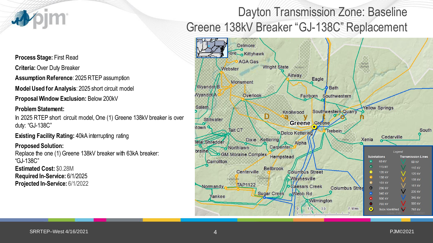

**Process Stage:** First Read

**Criteria:** Over Duty Breaker

**Assumption Reference**: 2025 RTEP assumption

**Model Used for Analysis**: 2025 short circuit model

**Proposal Window Exclusion:** Below 200kV

#### **Problem Statement:**

In 2025 RTEP short circuit model, One (1) Greene 138kV breaker is over duty: "GJ-138C"

**Existing Facility Rating: 40kA interrupting rating** 

#### **Proposed Solution:**

Replace the one (1) Greene 138kV breaker with 63kA breaker: "GJ-138C" **Estimated Cost:** \$0.28M **Required In-Service:** 6/1/2025 **Projected In-Service:** 6/1/2022

### Dayton Transmission Zone: Baseline Greene 138kV Breaker "GJ-138C" Replacement

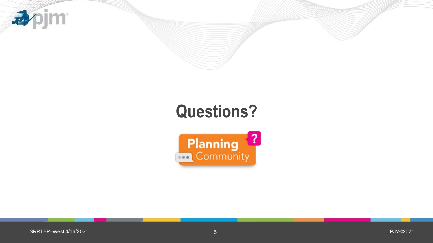

# **Questions?**